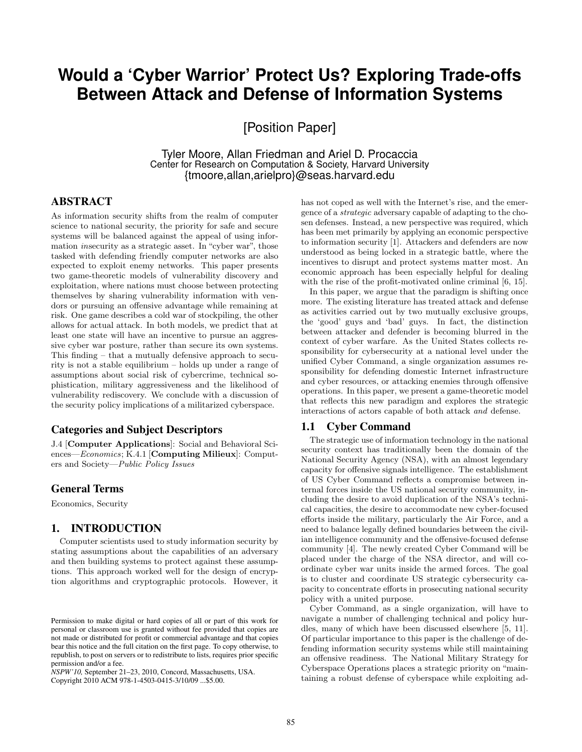# **Would a 'Cyber Warrior' Protect Us? Exploring Trade-offs Between Attack and Defense of Information Systems**

[Position Paper]

Tyler Moore, Allan Friedman and Ariel D. Procaccia Center for Research on Computation & Society, Harvard University {tmoore,allan,arielpro}@seas.harvard.edu

# ABSTRACT

As information security shifts from the realm of computer science to national security, the priority for safe and secure systems will be balanced against the appeal of using information insecurity as a strategic asset. In "cyber war", those tasked with defending friendly computer networks are also expected to exploit enemy networks. This paper presents two game-theoretic models of vulnerability discovery and exploitation, where nations must choose between protecting themselves by sharing vulnerability information with vendors or pursuing an offensive advantage while remaining at risk. One game describes a cold war of stockpiling, the other allows for actual attack. In both models, we predict that at least one state will have an incentive to pursue an aggressive cyber war posture, rather than secure its own systems. This finding – that a mutually defensive approach to security is not a stable equilibrium – holds up under a range of assumptions about social risk of cybercrime, technical sophistication, military aggressiveness and the likelihood of vulnerability rediscovery. We conclude with a discussion of the security policy implications of a militarized cyberspace.

### Categories and Subject Descriptors

J.4 [Computer Applications]: Social and Behavioral Sciences—Economics; K.4.1 [Computing Milieux]: Computers and Society—Public Policy Issues

#### General Terms

Economics, Security

#### 1. INTRODUCTION

Computer scientists used to study information security by stating assumptions about the capabilities of an adversary and then building systems to protect against these assumptions. This approach worked well for the design of encryption algorithms and cryptographic protocols. However, it

*NSPW'10,* September 21–23, 2010, Concord, Massachusetts, USA.

Copyright 2010 ACM 978-1-4503-0415-3/10/09 ...\$5.00.

has not coped as well with the Internet's rise, and the emergence of a strategic adversary capable of adapting to the chosen defenses. Instead, a new perspective was required, which has been met primarily by applying an economic perspective to information security [1]. Attackers and defenders are now understood as being locked in a strategic battle, where the incentives to disrupt and protect systems matter most. An economic approach has been especially helpful for dealing with the rise of the profit-motivated online criminal  $[6, 15]$ .

In this paper, we argue that the paradigm is shifting once more. The existing literature has treated attack and defense as activities carried out by two mutually exclusive groups, the 'good' guys and 'bad' guys. In fact, the distinction between attacker and defender is becoming blurred in the context of cyber warfare. As the United States collects responsibility for cybersecurity at a national level under the unified Cyber Command, a single organization assumes responsibility for defending domestic Internet infrastructure and cyber resources, or attacking enemies through offensive operations. In this paper, we present a game-theoretic model that reflects this new paradigm and explores the strategic interactions of actors capable of both attack and defense.

#### 1.1 Cyber Command

The strategic use of information technology in the national security context has traditionally been the domain of the National Security Agency (NSA), with an almost legendary capacity for offensive signals intelligence. The establishment of US Cyber Command reflects a compromise between internal forces inside the US national security community, including the desire to avoid duplication of the NSA's technical capacities, the desire to accommodate new cyber-focused efforts inside the military, particularly the Air Force, and a need to balance legally defined boundaries between the civilian intelligence community and the offensive-focused defense community [4]. The newly created Cyber Command will be placed under the charge of the NSA director, and will coordinate cyber war units inside the armed forces. The goal is to cluster and coordinate US strategic cybersecurity capacity to concentrate efforts in prosecuting national security policy with a united purpose.

Cyber Command, as a single organization, will have to navigate a number of challenging technical and policy hurdles, many of which have been discussed elsewhere [5, 11]. Of particular importance to this paper is the challenge of defending information security systems while still maintaining an offensive readiness. The National Military Strategy for Cyberspace Operations places a strategic priority on "maintaining a robust defense of cyberspace while exploiting ad-

Permission to make digital or hard copies of all or part of this work for personal or classroom use is granted without fee provided that copies are not made or distributed for profit or commercial advantage and that copies bear this notice and the full citation on the first page. To copy otherwise, to republish, to post on servers or to redistribute to lists, requires prior specific permission and/or a fee.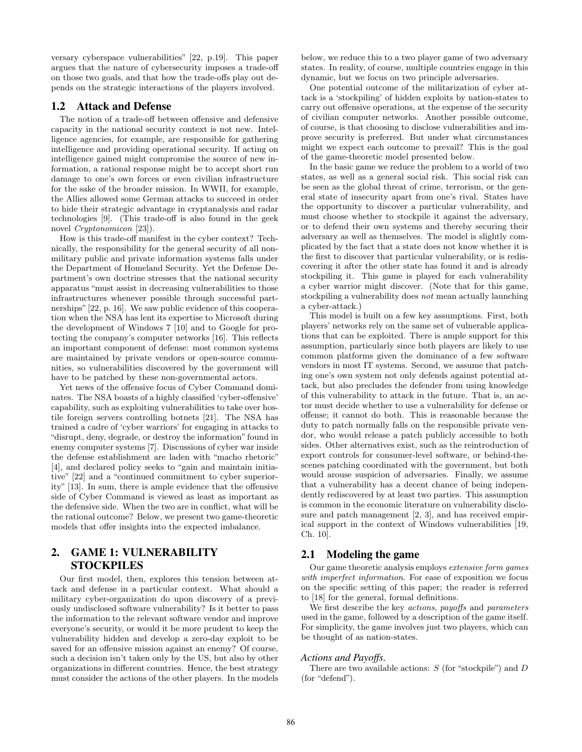versary cyberspace vulnerabilities" [22, p.19]. This paper argues that the nature of cybersecurity imposes a trade-off on those two goals, and that how the trade-offs play out depends on the strategic interactions of the players involved.

#### 1.2 Attack and Defense

The notion of a trade-off between offensive and defensive capacity in the national security context is not new. Intelligence agencies, for example, are responsible for gathering intelligence and providing operational security. If acting on intelligence gained might compromise the source of new information, a rational response might be to accept short run damage to one's own forces or even civilian infrastructure for the sake of the broader mission. In WWII, for example, the Allies allowed some German attacks to succeed in order to hide their strategic advantage in cryptanalysis and radar technologies [9]. (This trade-off is also found in the geek novel Cryptonomicon [23]).

How is this trade-off manifest in the cyber context? Technically, the responsibility for the general security of all nonmilitary public and private information systems falls under the Department of Homeland Security. Yet the Defense Department's own doctrine stresses that the national security apparatus "must assist in decreasing vulnerabilities to those infrastructures whenever possible through successful partnerships"[22, p. 16]. We saw public evidence of this cooperation when the NSA has lent its expertise to Microsoft during the development of Windows 7 [10] and to Google for protecting the company's computer networks [16]. This reflects an important component of defense: most common systems are maintained by private vendors or open-source communities, so vulnerabilities discovered by the government will have to be patched by these non-governmental actors.

Yet news of the offensive focus of Cyber Command dominates. The NSA boasts of a highly classified 'cyber-offensive' capability, such as exploiting vulnerabilities to take over hostile foreign servers controlling botnets [21]. The NSA has trained a cadre of 'cyber warriors' for engaging in attacks to "disrupt, deny, degrade, or destroy the information" found in enemy computer systems [7]. Discussions of cyber war inside the defense establishment are laden with "macho rhetoric" [4], and declared policy seeks to "gain and maintain initiative" [22] and a "continued commitment to cyber superiority" [13]. In sum, there is ample evidence that the offensive side of Cyber Command is viewed as least as important as the defensive side. When the two are in conflict, what will be the rational outcome? Below, we present two game-theoretic models that offer insights into the expected imbalance.

# 2. GAME 1: VULNERABILITY **STOCKPILES**

Our first model, then, explores this tension between attack and defense in a particular context. What should a military cyber-organization do upon discovery of a previously undisclosed software vulnerability? Is it better to pass the information to the relevant software vendor and improve everyone's security, or would it be more prudent to keep the vulnerability hidden and develop a zero-day exploit to be saved for an offensive mission against an enemy? Of course, such a decision isn't taken only by the US, but also by other organizations in different countries. Hence, the best strategy must consider the actions of the other players. In the models below, we reduce this to a two player game of two adversary states. In reality, of course, multiple countries engage in this dynamic, but we focus on two principle adversaries.

One potential outcome of the militarization of cyber attack is a 'stockpiling' of hidden exploits by nation-states to carry out offensive operations, at the expense of the security of civilian computer networks. Another possible outcome, of course, is that choosing to disclose vulnerabilities and improve security is preferred. But under what circumstances might we expect each outcome to prevail? This is the goal of the game-theoretic model presented below.

In the basic game we reduce the problem to a world of two states, as well as a general social risk. This social risk can be seen as the global threat of crime, terrorism, or the general state of insecurity apart from one's rival. States have the opportunity to discover a particular vulnerability, and must choose whether to stockpile it against the adversary, or to defend their own systems and thereby securing their adversary as well as themselves. The model is slightly complicated by the fact that a state does not know whether it is the first to discover that particular vulnerability, or is rediscovering it after the other state has found it and is already stockpiling it. This game is played for each vulnerability a cyber warrior might discover. (Note that for this game, stockpiling a vulnerability does not mean actually launching a cyber-attack.)

This model is built on a few key assumptions. First, both players' networks rely on the same set of vulnerable applications that can be exploited. There is ample support for this assumption, particularly since both players are likely to use common platforms given the dominance of a few software vendors in most IT systems. Second, we assume that patching one's own system not only defends against potential attack, but also precludes the defender from using knowledge of this vulnerability to attack in the future. That is, an actor must decide whether to use a vulnerability for defense or offense; it cannot do both. This is reasonable because the duty to patch normally falls on the responsible private vendor, who would release a patch publicly accessible to both sides. Other alternatives exist, such as the reintroduction of export controls for consumer-level software, or behind-thescenes patching coordinated with the government, but both would arouse suspicion of adversaries. Finally, we assume that a vulnerability has a decent chance of being independently rediscovered by at least two parties. This assumption is common in the economic literature on vulnerability disclosure and patch management [2, 3], and has received empirical support in the context of Windows vulnerabilities [19, Ch. 10].

## 2.1 Modeling the game

Our game theoretic analysis employs extensive form games with imperfect information. For ease of exposition we focus on the specific setting of this paper; the reader is referred to [18] for the general, formal definitions.

We first describe the key *actions*, *payoffs* and *parameters* used in the game, followed by a description of the game itself. For simplicity, the game involves just two players, which can be thought of as nation-states.

#### *Actions and Payoffs.*

There are two available actions:  $S$  (for "stockpile") and  $D$ (for "defend").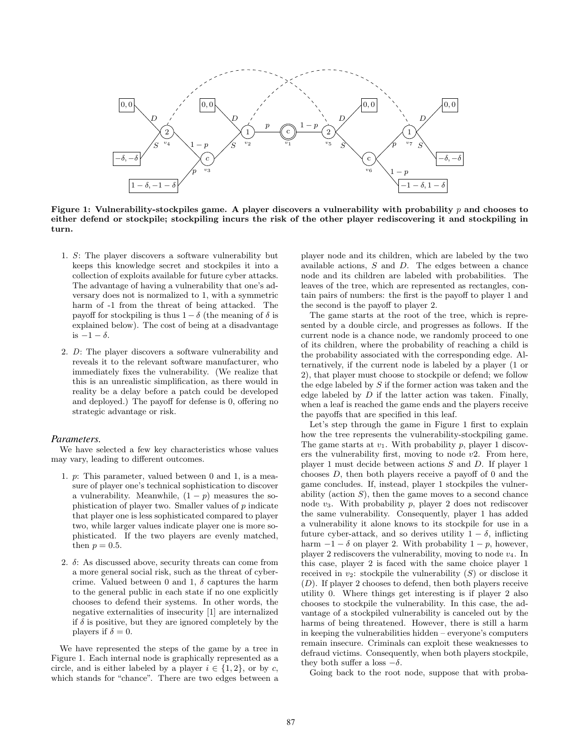

Figure 1: Vulnerability-stockpiles game. A player discovers a vulnerability with probability  $p$  and chooses to either defend or stockpile; stockpiling incurs the risk of the other player rediscovering it and stockpiling in turn.

- 1. S: The player discovers a software vulnerability but keeps this knowledge secret and stockpiles it into a collection of exploits available for future cyber attacks. The advantage of having a vulnerability that one's adversary does not is normalized to 1, with a symmetric harm of -1 from the threat of being attacked. The payoff for stockpiling is thus  $1 - \delta$  (the meaning of  $\delta$  is explained below). The cost of being at a disadvantage is  $-1-\delta$ .
- 2. D: The player discovers a software vulnerability and reveals it to the relevant software manufacturer, who immediately fixes the vulnerability. (We realize that this is an unrealistic simplification, as there would in reality be a delay before a patch could be developed and deployed.) The payoff for defense is 0, offering no strategic advantage or risk.

#### *Parameters.*

We have selected a few key characteristics whose values may vary, leading to different outcomes.

- 1. p: This parameter, valued between 0 and 1, is a measure of player one's technical sophistication to discover a vulnerability. Meanwhile,  $(1 - p)$  measures the sophistication of player two. Smaller values of p indicate that player one is less sophisticated compared to player two, while larger values indicate player one is more sophisticated. If the two players are evenly matched, then  $p = 0.5$ .
- 2.  $\delta$ : As discussed above, security threats can come from a more general social risk, such as the threat of cybercrime. Valued between 0 and 1,  $\delta$  captures the harm to the general public in each state if no one explicitly chooses to defend their systems. In other words, the negative externalities of insecurity [1] are internalized if  $\delta$  is positive, but they are ignored completely by the players if  $\delta = 0$ .

We have represented the steps of the game by a tree in Figure 1. Each internal node is graphically represented as a circle, and is either labeled by a player  $i \in \{1, 2\}$ , or by c, which stands for "chance". There are two edges between a player node and its children, which are labeled by the two available actions, S and D. The edges between a chance node and its children are labeled with probabilities. The leaves of the tree, which are represented as rectangles, contain pairs of numbers: the first is the payoff to player 1 and the second is the payoff to player 2.

The game starts at the root of the tree, which is represented by a double circle, and progresses as follows. If the current node is a chance node, we randomly proceed to one of its children, where the probability of reaching a child is the probability associated with the corresponding edge. Alternatively, if the current node is labeled by a player (1 or 2), that player must choose to stockpile or defend; we follow the edge labeled by S if the former action was taken and the edge labeled by  $D$  if the latter action was taken. Finally, when a leaf is reached the game ends and the players receive the payoffs that are specified in this leaf.

Let's step through the game in Figure 1 first to explain how the tree represents the vulnerability-stockpiling game. The game starts at  $v_1$ . With probability p, player 1 discovers the vulnerability first, moving to node  $v2$ . From here, player 1 must decide between actions S and D. If player 1 chooses D, then both players receive a payoff of 0 and the game concludes. If, instead, player 1 stockpiles the vulnerability (action  $S$ ), then the game moves to a second chance node  $v_3$ . With probability p, player 2 does not rediscover the same vulnerability. Consequently, player 1 has added a vulnerability it alone knows to its stockpile for use in a future cyber-attack, and so derives utility  $1 - \delta$ , inflicting harm  $-1 - \delta$  on player 2. With probability  $1 - p$ , however, player 2 rediscovers the vulnerability, moving to node  $v_4$ . In this case, player 2 is faced with the same choice player 1 received in  $v_2$ : stockpile the vulnerability  $(S)$  or disclose it  $(D)$ . If player 2 chooses to defend, then both players receive utility 0. Where things get interesting is if player 2 also chooses to stockpile the vulnerability. In this case, the advantage of a stockpiled vulnerability is canceled out by the harms of being threatened. However, there is still a harm in keeping the vulnerabilities hidden – everyone's computers remain insecure. Criminals can exploit these weaknesses to defraud victims. Consequently, when both players stockpile, they both suffer a loss  $-\delta$ .

Going back to the root node, suppose that with proba-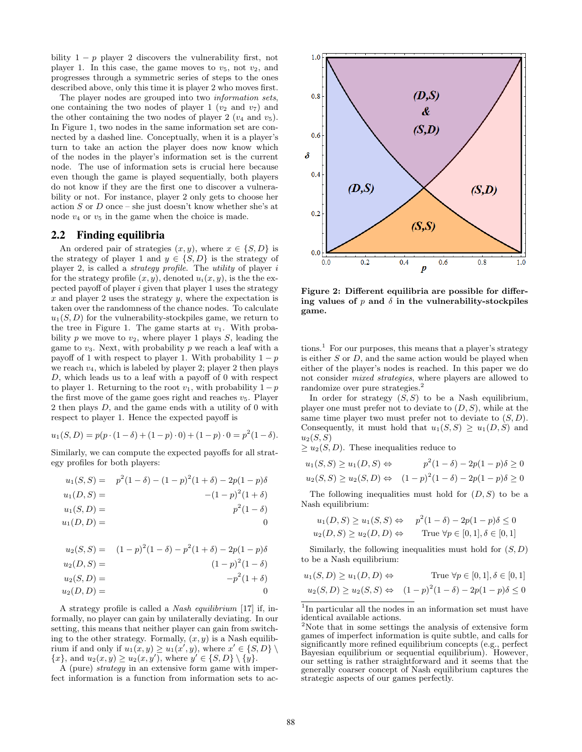bility  $1 - p$  player 2 discovers the vulnerability first, not player 1. In this case, the game moves to  $v_5$ , not  $v_2$ , and progresses through a symmetric series of steps to the ones described above, only this time it is player 2 who moves first.

The player nodes are grouped into two information sets, one containing the two nodes of player 1  $(v_2$  and  $v_7)$  and the other containing the two nodes of player 2  $(v_4 \text{ and } v_5)$ . In Figure 1, two nodes in the same information set are connected by a dashed line. Conceptually, when it is a player's turn to take an action the player does now know which of the nodes in the player's information set is the current node. The use of information sets is crucial here because even though the game is played sequentially, both players do not know if they are the first one to discover a vulnerability or not. For instance, player 2 only gets to choose her action  $S$  or  $D$  once – she just doesn't know whether she's at node  $v_4$  or  $v_5$  in the game when the choice is made.

## 2.2 Finding equilibria

An ordered pair of strategies  $(x, y)$ , where  $x \in \{S, D\}$  is the strategy of player 1 and  $y \in \{S, D\}$  is the strategy of player 2, is called a *strategy profile*. The *utility* of player  $i$ for the strategy profile  $(x, y)$ , denoted  $u_i(x, y)$ , is the the expected payoff of player i given that player 1 uses the strategy  $x$  and player 2 uses the strategy  $y$ , where the expectation is taken over the randomness of the chance nodes. To calculate  $u_1(S, D)$  for the vulnerability-stockpiles game, we return to the tree in Figure 1. The game starts at  $v_1$ . With probability p we move to  $v_2$ , where player 1 plays S, leading the game to  $v_3$ . Next, with probability p we reach a leaf with a payoff of 1 with respect to player 1. With probability  $1 - p$ we reach  $v_4$ , which is labeled by player 2; player 2 then plays D, which leads us to a leaf with a payoff of 0 with respect to player 1. Returning to the root  $v_1$ , with probability  $1 - p$ the first move of the game goes right and reaches  $v_5$ . Player 2 then plays D, and the game ends with a utility of 0 with respect to player 1. Hence the expected payoff is

$$
u_1(S, D) = p(p \cdot (1 - \delta) + (1 - p) \cdot 0) + (1 - p) \cdot 0 = p^2(1 - \delta).
$$

Similarly, we can compute the expected payoffs for all strategy profiles for both players:

$$
u_1(S, S) = p^2(1 - \delta) - (1 - p)^2(1 + \delta) - 2p(1 - p)\delta
$$
  

$$
u_1(D, S) = -(1 - p)^2(1 + \delta)
$$

$$
u_1(S, D) = p^2(1 - \delta)
$$

$$
u_1(D,D) = 0
$$

$$
u_2(S, S) = (1-p)^2(1-\delta) - p^2(1+\delta) - 2p(1-p)\delta
$$

$$
u_2(D, S) = (1 - p)^2 (1 - \delta)
$$

$$
u_2(S, D) = -p^2(1+\delta)
$$

$$
u_2(D,D) = 0
$$

A strategy profile is called a Nash equilibrium [17] if, informally, no player can gain by unilaterally deviating. In our setting, this means that neither player can gain from switching to the other strategy. Formally,  $(x, y)$  is a Nash equilibrium if and only if  $u_1(x, y) \ge u_1(x', y)$ , where  $x' \in \{S, D\} \setminus$  $\{x\}$ , and  $u_2(x, y) \ge u_2(x, y')$ , where  $y' \in \{S, D\} \setminus \{y\}$ .

A (pure) strategy in an extensive form game with imperfect information is a function from information sets to ac-



Figure 2: Different equilibria are possible for differing values of p and  $\delta$  in the vulnerability-stockpiles game.

tions.<sup>1</sup> For our purposes, this means that a player's strategy is either  $S$  or  $D$ , and the same action would be played when either of the player's nodes is reached. In this paper we do not consider mixed strategies, where players are allowed to randomize over pure strategies.<sup>2</sup>

In order for strategy  $(S, S)$  to be a Nash equilibrium, player one must prefer not to deviate to  $(D, S)$ , while at the same time player two must prefer not to deviate to  $(S, D)$ . Consequently, it must hold that  $u_1(S, S) \geq u_1(D, S)$  and  $u_2(S, S)$ 

 $\geq u_2(S, D)$ . These inequalities reduce to

$$
u_1(S, S) \ge u_1(D, S) \Leftrightarrow \qquad p^2(1 - \delta) - 2p(1 - p)\delta \ge 0
$$
  

$$
u_2(S, S) \ge u_2(S, D) \Leftrightarrow (1 - p)^2(1 - \delta) - 2p(1 - p)\delta \ge 0
$$

The following inequalities must hold for  $(D, S)$  to be a Nash equilibrium:

$$
u_1(D, S) \ge u_1(S, S) \Leftrightarrow p^2(1 - \delta) - 2p(1 - p)\delta \le 0
$$
  

$$
u_2(D, S) \ge u_2(D, D) \Leftrightarrow \text{True } \forall p \in [0, 1], \delta \in [0, 1]
$$

Similarly, the following inequalities must hold for  $(S, D)$ to be a Nash equilibrium:

$$
u_1(S, D) \ge u_1(D, D) \Leftrightarrow \text{True } \forall p \in [0, 1], \delta \in [0, 1]
$$
  

$$
u_2(S, D) \ge u_2(S, S) \Leftrightarrow (1 - p)^2 (1 - \delta) - 2p(1 - p)\delta \le 0
$$

<sup>&</sup>lt;sup>1</sup>In particular all the nodes in an information set must have identical available actions.

<sup>2</sup>Note that in some settings the analysis of extensive form games of imperfect information is quite subtle, and calls for significantly more refined equilibrium concepts (e.g., perfect Bayesian equilibrium or sequential equilibrium). However, our setting is rather straightforward and it seems that the generally coarser concept of Nash equilibrium captures the strategic aspects of our games perfectly.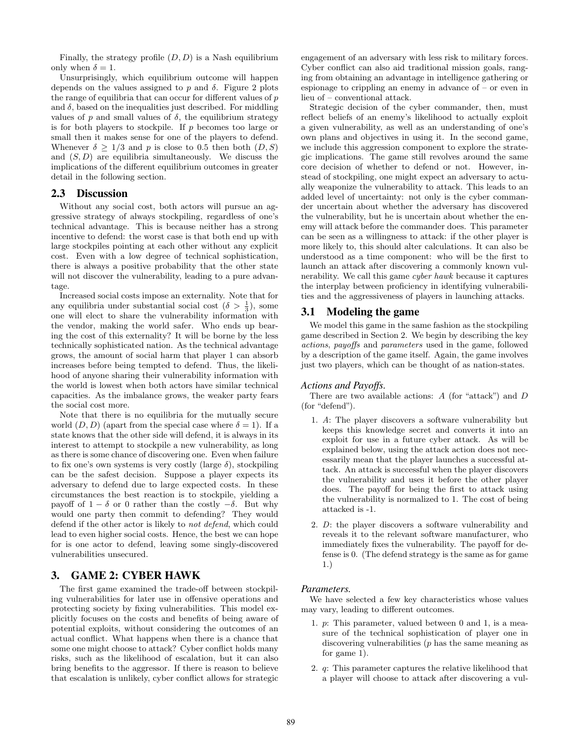Finally, the strategy profile  $(D, D)$  is a Nash equilibrium only when  $\delta = 1$ .

Unsurprisingly, which equilibrium outcome will happen depends on the values assigned to p and  $\delta$ . Figure 2 plots the range of equilibria that can occur for different values of  $p$ and  $\delta$ , based on the inequalities just described. For middling values of p and small values of  $\delta$ , the equilibrium strategy is for both players to stockpile. If  $p$  becomes too large or small then it makes sense for one of the players to defend. Whenever  $\delta \geq 1/3$  and p is close to 0.5 then both  $(D, S)$ and  $(S, D)$  are equilibria simultaneously. We discuss the implications of the different equilibrium outcomes in greater detail in the following section.

### 2.3 Discussion

Without any social cost, both actors will pursue an aggressive strategy of always stockpiling, regardless of one's technical advantage. This is because neither has a strong incentive to defend: the worst case is that both end up with large stockpiles pointing at each other without any explicit cost. Even with a low degree of technical sophistication, there is always a positive probability that the other state will not discover the vulnerability, leading to a pure advantage.

Increased social costs impose an externality. Note that for any equilibria under substantial social cost  $(\delta > \frac{1}{3})$ , some one will elect to share the vulnerability information with the vendor, making the world safer. Who ends up bearing the cost of this externality? It will be borne by the less technically sophisticated nation. As the technical advantage grows, the amount of social harm that player 1 can absorb increases before being tempted to defend. Thus, the likelihood of anyone sharing their vulnerability information with the world is lowest when both actors have similar technical capacities. As the imbalance grows, the weaker party fears the social cost more.

Note that there is no equilibria for the mutually secure world  $(D, D)$  (apart from the special case where  $\delta = 1$ ). If a state knows that the other side will defend, it is always in its interest to attempt to stockpile a new vulnerability, as long as there is some chance of discovering one. Even when failure to fix one's own systems is very costly (large  $\delta$ ), stockpiling can be the safest decision. Suppose a player expects its adversary to defend due to large expected costs. In these circumstances the best reaction is to stockpile, yielding a payoff of  $1 - \delta$  or 0 rather than the costly  $-\delta$ . But why would one party then commit to defending? They would defend if the other actor is likely to not defend, which could lead to even higher social costs. Hence, the best we can hope for is one actor to defend, leaving some singly-discovered vulnerabilities unsecured.

#### 3. GAME 2: CYBER HAWK

The first game examined the trade-off between stockpiling vulnerabilities for later use in offensive operations and protecting society by fixing vulnerabilities. This model explicitly focuses on the costs and benefits of being aware of potential exploits, without considering the outcomes of an actual conflict. What happens when there is a chance that some one might choose to attack? Cyber conflict holds many risks, such as the likelihood of escalation, but it can also bring benefits to the aggressor. If there is reason to believe that escalation is unlikely, cyber conflict allows for strategic

engagement of an adversary with less risk to military forces. Cyber conflict can also aid traditional mission goals, ranging from obtaining an advantage in intelligence gathering or espionage to crippling an enemy in advance of – or even in lieu of – conventional attack.

Strategic decision of the cyber commander, then, must reflect beliefs of an enemy's likelihood to actually exploit a given vulnerability, as well as an understanding of one's own plans and objectives in using it. In the second game, we include this aggression component to explore the strategic implications. The game still revolves around the same core decision of whether to defend or not. However, instead of stockpiling, one might expect an adversary to actually weaponize the vulnerability to attack. This leads to an added level of uncertainty: not only is the cyber commander uncertain about whether the adversary has discovered the vulnerability, but he is uncertain about whether the enemy will attack before the commander does. This parameter can be seen as a willingness to attack: if the other player is more likely to, this should alter calculations. It can also be understood as a time component: who will be the first to launch an attack after discovering a commonly known vulnerability. We call this game cyber hawk because it captures the interplay between proficiency in identifying vulnerabilities and the aggressiveness of players in launching attacks.

#### 3.1 Modeling the game

We model this game in the same fashion as the stockpiling game described in Section 2. We begin by describing the key actions, payoffs and parameters used in the game, followed by a description of the game itself. Again, the game involves just two players, which can be thought of as nation-states.

#### *Actions and Payoffs.*

There are two available actions: A (for "attack") and D (for "defend").

- 1. A: The player discovers a software vulnerability but keeps this knowledge secret and converts it into an exploit for use in a future cyber attack. As will be explained below, using the attack action does not necessarily mean that the player launches a successful attack. An attack is successful when the player discovers the vulnerability and uses it before the other player does. The payoff for being the first to attack using the vulnerability is normalized to 1. The cost of being attacked is -1.
- 2. D: the player discovers a software vulnerability and reveals it to the relevant software manufacturer, who immediately fixes the vulnerability. The payoff for defense is 0. (The defend strategy is the same as for game 1.)

#### *Parameters.*

We have selected a few key characteristics whose values may vary, leading to different outcomes.

- 1. p: This parameter, valued between 0 and 1, is a measure of the technical sophistication of player one in discovering vulnerabilities (p has the same meaning as for game 1).
- 2. q: This parameter captures the relative likelihood that a player will choose to attack after discovering a vul-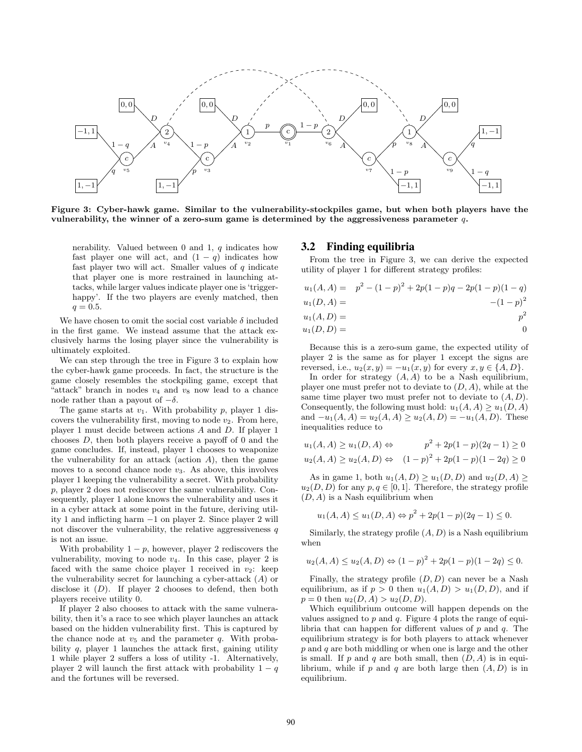

Figure 3: Cyber-hawk game. Similar to the vulnerability-stockpiles game, but when both players have the vulnerability, the winner of a zero-sum game is determined by the aggressiveness parameter  $q$ .

nerability. Valued between  $0$  and  $1, q$  indicates how fast player one will act, and  $(1 - q)$  indicates how fast player two will act. Smaller values of  $q$  indicate that player one is more restrained in launching attacks, while larger values indicate player one is 'triggerhappy'. If the two players are evenly matched, then  $q = 0.5$ .

We have chosen to omit the social cost variable  $\delta$  included in the first game. We instead assume that the attack exclusively harms the losing player since the vulnerability is ultimately exploited.

We can step through the tree in Figure 3 to explain how the cyber-hawk game proceeds. In fact, the structure is the game closely resembles the stockpiling game, except that "attack" branch in nodes  $v_4$  and  $v_8$  now lead to a chance node rather than a payout of  $-\delta$ .

The game starts at  $v_1$ . With probability p, player 1 discovers the vulnerability first, moving to node  $v_2$ . From here, player 1 must decide between actions A and D. If player 1 chooses  $D$ , then both players receive a payoff of 0 and the game concludes. If, instead, player 1 chooses to weaponize the vulnerability for an attack (action  $A$ ), then the game moves to a second chance node  $v_3$ . As above, this involves player 1 keeping the vulnerability a secret. With probability p, player 2 does not rediscover the same vulnerability. Consequently, player 1 alone knows the vulnerability and uses it in a cyber attack at some point in the future, deriving utility 1 and inflicting harm −1 on player 2. Since player 2 will not discover the vulnerability, the relative aggressiveness  $q$ is not an issue.

With probability  $1 - p$ , however, player 2 rediscovers the vulnerability, moving to node  $v_4$ . In this case, player 2 is faced with the same choice player 1 received in  $v_2$ : keep the vulnerability secret for launching a cyber-attack  $(A)$  or disclose it  $(D)$ . If player 2 chooses to defend, then both players receive utility 0.

If player 2 also chooses to attack with the same vulnerability, then it's a race to see which player launches an attack based on the hidden vulnerability first. This is captured by the chance node at  $v_5$  and the parameter q. With probability  $q$ , player 1 launches the attack first, gaining utility 1 while player 2 suffers a loss of utility -1. Alternatively, player 2 will launch the first attack with probability  $1 - q$ and the fortunes will be reversed.

#### 3.2 Finding equilibria

From the tree in Figure 3, we can derive the expected utility of player 1 for different strategy profiles:

$$
u_1(A, A) = p^2 - (1 - p)^2 + 2p(1 - p)q - 2p(1 - p)(1 - q)
$$
  
\n
$$
u_1(D, A) = - (1 - p)^2
$$
  
\n
$$
u_1(A, D) = p^2
$$
  
\n
$$
u_1(D, D) = 0
$$

Because this is a zero-sum game, the expected utility of player 2 is the same as for player 1 except the signs are reversed, i.e.,  $u_2(x, y) = -u_1(x, y)$  for every  $x, y \in \{A, D\}$ .

In order for strategy  $(A, A)$  to be a Nash equilibrium, player one must prefer not to deviate to  $(D, A)$ , while at the same time player two must prefer not to deviate to  $(A, D)$ . Consequently, the following must hold:  $u_1(A, A) \geq u_1(D, A)$ and  $-u_1(A, A) = u_2(A, A) \ge u_2(A, D) = -u_1(A, D)$ . These inequalities reduce to

$$
u_1(A, A) \ge u_1(D, A) \Leftrightarrow \qquad p^2 + 2p(1 - p)(2q - 1) \ge 0
$$
  

$$
u_2(A, A) \ge u_2(A, D) \Leftrightarrow (1 - p)^2 + 2p(1 - p)(1 - 2q) \ge 0
$$

As in game 1, both  $u_1(A, D) \ge u_1(D, D)$  and  $u_2(D, A) \ge$  $u_2(D, D)$  for any  $p, q \in [0, 1]$ . Therefore, the strategy profile  $(D, A)$  is a Nash equilibrium when

$$
u_1(A, A) \le u_1(D, A) \Leftrightarrow p^2 + 2p(1 - p)(2q - 1) \le 0.
$$

Similarly, the strategy profile  $(A, D)$  is a Nash equilibrium when

$$
u_2(A, A) \le u_2(A, D) \Leftrightarrow (1-p)^2 + 2p(1-p)(1-2q) \le 0.
$$

Finally, the strategy profile  $(D, D)$  can never be a Nash equilibrium, as if  $p > 0$  then  $u_1(A, D) > u_1(D, D)$ , and if  $p = 0$  then  $u_2(D, A) > u_2(D, D)$ .

Which equilibrium outcome will happen depends on the values assigned to  $p$  and  $q$ . Figure 4 plots the range of equilibria that can happen for different values of  $p$  and  $q$ . The equilibrium strategy is for both players to attack whenever  $p$  and  $q$  are both middling or when one is large and the other is small. If p and q are both small, then  $(D, A)$  is in equilibrium, while if p and q are both large then  $(A, D)$  is in equilibrium.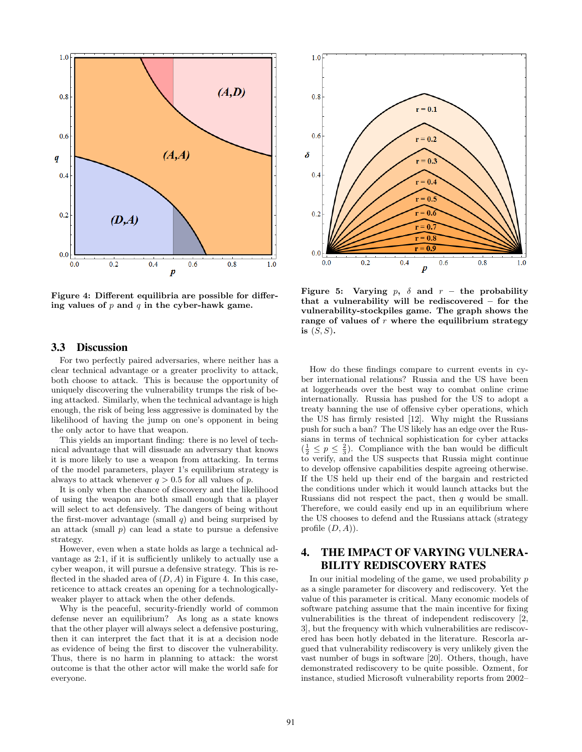

Figure 4: Different equilibria are possible for differing values of  $p$  and  $q$  in the cyber-hawk game.

#### 3.3 Discussion

For two perfectly paired adversaries, where neither has a clear technical advantage or a greater proclivity to attack, both choose to attack. This is because the opportunity of uniquely discovering the vulnerability trumps the risk of being attacked. Similarly, when the technical advantage is high enough, the risk of being less aggressive is dominated by the likelihood of having the jump on one's opponent in being the only actor to have that weapon.

This yields an important finding: there is no level of technical advantage that will dissuade an adversary that knows it is more likely to use a weapon from attacking. In terms of the model parameters, player 1's equilibrium strategy is always to attack whenever  $q > 0.5$  for all values of  $p$ .

It is only when the chance of discovery and the likelihood of using the weapon are both small enough that a player will select to act defensively. The dangers of being without the first-mover advantage (small  $q$ ) and being surprised by an attack (small  $p$ ) can lead a state to pursue a defensive strategy.

However, even when a state holds as large a technical advantage as 2:1, if it is sufficiently unlikely to actually use a cyber weapon, it will pursue a defensive strategy. This is reflected in the shaded area of  $(D, A)$  in Figure 4. In this case, reticence to attack creates an opening for a technologicallyweaker player to attack when the other defends.

Why is the peaceful, security-friendly world of common defense never an equilibrium? As long as a state knows that the other player will always select a defensive posturing, then it can interpret the fact that it is at a decision node as evidence of being the first to discover the vulnerability. Thus, there is no harm in planning to attack: the worst outcome is that the other actor will make the world safe for everyone.



Figure 5: Varying  $p, \delta$  and  $r$  – the probability that a vulnerability will be rediscovered – for the vulnerability-stockpiles game. The graph shows the range of values of  $r$  where the equilibrium strategy is  $(S, S)$ .

How do these findings compare to current events in cyber international relations? Russia and the US have been at loggerheads over the best way to combat online crime internationally. Russia has pushed for the US to adopt a treaty banning the use of offensive cyber operations, which the US has firmly resisted [12]. Why might the Russians push for such a ban? The US likely has an edge over the Russians in terms of technical sophistication for cyber attacks  $(\frac{1}{2} \leq p \leq \frac{2}{3})$ . Compliance with the ban would be difficult to verify, and the US suspects that Russia might continue to develop offensive capabilities despite agreeing otherwise. If the US held up their end of the bargain and restricted the conditions under which it would launch attacks but the Russians did not respect the pact, then  $q$  would be small. Therefore, we could easily end up in an equilibrium where the US chooses to defend and the Russians attack (strategy profile  $(D, A)$ .

# 4. THE IMPACT OF VARYING VULNERA-BILITY REDISCOVERY RATES

In our initial modeling of the game, we used probability  $p$ as a single parameter for discovery and rediscovery. Yet the value of this parameter is critical. Many economic models of software patching assume that the main incentive for fixing vulnerabilities is the threat of independent rediscovery [2, 3], but the frequency with which vulnerabilities are rediscovered has been hotly debated in the literature. Rescorla argued that vulnerability rediscovery is very unlikely given the vast number of bugs in software [20]. Others, though, have demonstrated rediscovery to be quite possible. Ozment, for instance, studied Microsoft vulnerability reports from 2002–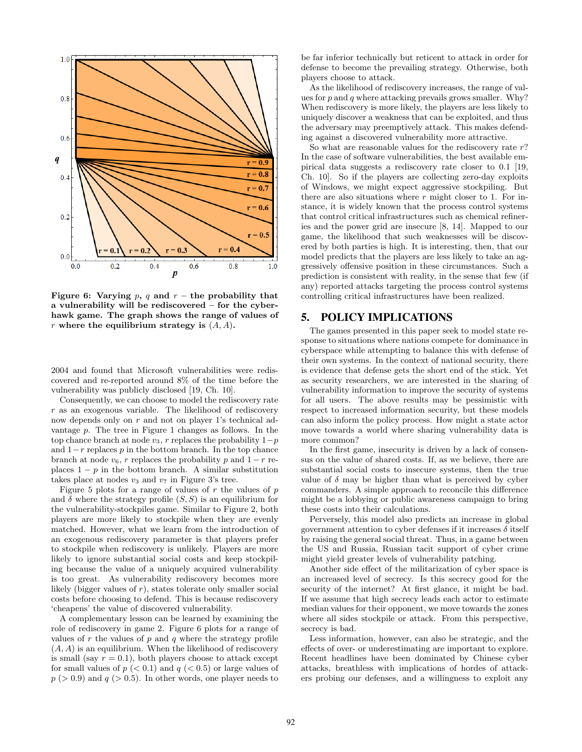

Figure 6: Varying p, q and  $r$  – the probability that a vulnerability will be rediscovered – for the cyberhawk game. The graph shows the range of values of r where the equilibrium strategy is  $(A, A)$ .

2004 and found that Microsoft vulnerabilities were rediscovered and re-reported around 8% of the time before the vulnerability was publicly disclosed [19, Ch. 10].

Consequently, we can choose to model the rediscovery rate  $r$  as an exogenous variable. The likelihood of rediscovery now depends only on r and not on player 1's technical advantage p. The tree in Figure 1 changes as follows. In the top chance branch at node  $v_3$ , r replaces the probability  $1-p$ and  $1-r$  replaces p in the bottom branch. In the top chance branch at node  $v_6$ , r replaces the probability p and  $1 - r$  replaces  $1 - p$  in the bottom branch. A similar substitution takes place at nodes  $v_3$  and  $v_7$  in Figure 3's tree.

Figure 5 plots for a range of values of  $r$  the values of  $p$ and  $\delta$  where the strategy profile  $(S, S)$  is an equilibrium for the vulnerability-stockpiles game. Similar to Figure 2, both players are more likely to stockpile when they are evenly matched. However, what we learn from the introduction of an exogenous rediscovery parameter is that players prefer to stockpile when rediscovery is unlikely. Players are more likely to ignore substantial social costs and keep stockpiling because the value of a uniquely acquired vulnerability is too great. As vulnerability rediscovery becomes more likely (bigger values of  $r$ ), states tolerate only smaller social costs before choosing to defend. This is because rediscovery 'cheapens' the value of discovered vulnerability.

A complementary lesson can be learned by examining the role of rediscovery in game 2. Figure 6 plots for a range of values of  $r$  the values of  $p$  and  $q$  where the strategy profile  $(A, A)$  is an equilibrium. When the likelihood of rediscovery is small (say  $r = 0.1$ ), both players choose to attack except for small values of  $p \ll 0.1$  and  $q \ll 0.5$  or large values of  $p (> 0.9)$  and  $q (> 0.5)$ . In other words, one player needs to

be far inferior technically but reticent to attack in order for defense to become the prevailing strategy. Otherwise, both players choose to attack.

As the likelihood of rediscovery increases, the range of values for  $p$  and  $q$  where attacking prevails grows smaller. Why? When rediscovery is more likely, the players are less likely to uniquely discover a weakness that can be exploited, and thus the adversary may preemptively attack. This makes defending against a discovered vulnerability more attractive.

So what are reasonable values for the rediscovery rate  $r$ ? In the case of software vulnerabilities, the best available empirical data suggests a rediscovery rate closer to 0.1 [19, Ch. 10]. So if the players are collecting zero-day exploits of Windows, we might expect aggressive stockpiling. But there are also situations where  $r$  might closer to 1. For instance, it is widely known that the process control systems that control critical infrastructures such as chemical refineries and the power grid are insecure [8, 14]. Mapped to our game, the likelihood that such weaknesses will be discovered by both parties is high. It is interesting, then, that our model predicts that the players are less likely to take an aggressively offensive position in these circumstances. Such a prediction is consistent with reality, in the sense that few (if any) reported attacks targeting the process control systems controlling critical infrastructures have been realized.

#### 5. POLICY IMPLICATIONS

The games presented in this paper seek to model state response to situations where nations compete for dominance in cyberspace while attempting to balance this with defense of their own systems. In the context of national security, there is evidence that defense gets the short end of the stick. Yet as security researchers, we are interested in the sharing of vulnerability information to improve the security of systems for all users. The above results may be pessimistic with respect to increased information security, but these models can also inform the policy process. How might a state actor move towards a world where sharing vulnerability data is more common?

In the first game, insecurity is driven by a lack of consensus on the value of shared costs. If, as we believe, there are substantial social costs to insecure systems, then the true value of  $\delta$  may be higher than what is perceived by cyber commanders. A simple approach to reconcile this difference might be a lobbying or public awareness campaign to bring these costs into their calculations.

Perversely, this model also predicts an increase in global government attention to cyber defenses if it increases  $\delta$  itself by raising the general social threat. Thus, in a game between the US and Russia, Russian tacit support of cyber crime might yield greater levels of vulnerability patching.

Another side effect of the militarization of cyber space is an increased level of secrecy. Is this secrecy good for the security of the internet? At first glance, it might be bad. If we assume that high secrecy leads each actor to estimate median values for their opponent, we move towards the zones where all sides stockpile or attack. From this perspective, secrecy is bad.

Less information, however, can also be strategic, and the effects of over- or underestimating are important to explore. Recent headlines have been dominated by Chinese cyber attacks, breathless with implications of hordes of attackers probing our defenses, and a willingness to exploit any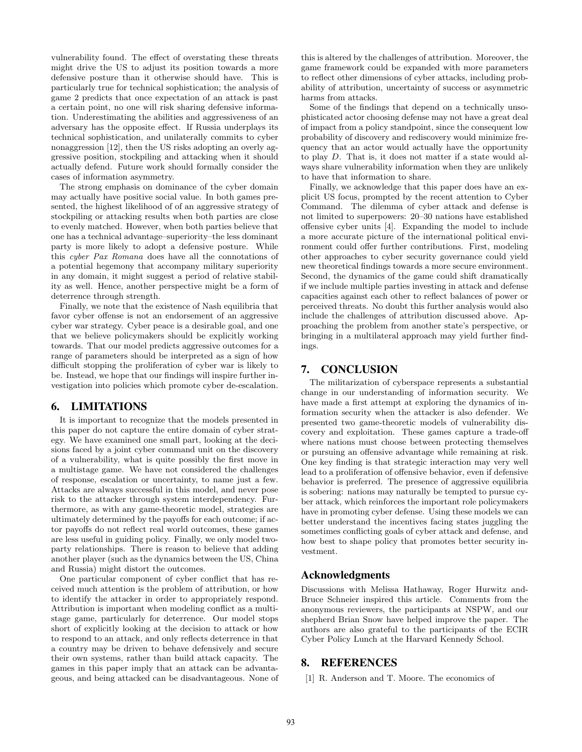vulnerability found. The effect of overstating these threats might drive the US to adjust its position towards a more defensive posture than it otherwise should have. This is particularly true for technical sophistication; the analysis of game 2 predicts that once expectation of an attack is past a certain point, no one will risk sharing defensive information. Underestimating the abilities and aggressiveness of an adversary has the opposite effect. If Russia underplays its technical sophistication, and unilaterally commits to cyber nonaggression [12], then the US risks adopting an overly aggressive position, stockpiling and attacking when it should actually defend. Future work should formally consider the cases of information asymmetry.

The strong emphasis on dominance of the cyber domain may actually have positive social value. In both games presented, the highest likelihood of of an aggressive strategy of stockpiling or attacking results when both parties are close to evenly matched. However, when both parties believe that one has a technical advantage–superiority–the less dominant party is more likely to adopt a defensive posture. While this cyber Pax Romana does have all the connotations of a potential hegemony that accompany military superiority in any domain, it might suggest a period of relative stability as well. Hence, another perspective might be a form of deterrence through strength.

Finally, we note that the existence of Nash equilibria that favor cyber offense is not an endorsement of an aggressive cyber war strategy. Cyber peace is a desirable goal, and one that we believe policymakers should be explicitly working towards. That our model predicts aggressive outcomes for a range of parameters should be interpreted as a sign of how difficult stopping the proliferation of cyber war is likely to be. Instead, we hope that our findings will inspire further investigation into policies which promote cyber de-escalation.

## 6. LIMITATIONS

It is important to recognize that the models presented in this paper do not capture the entire domain of cyber strategy. We have examined one small part, looking at the decisions faced by a joint cyber command unit on the discovery of a vulnerability, what is quite possibly the first move in a multistage game. We have not considered the challenges of response, escalation or uncertainty, to name just a few. Attacks are always successful in this model, and never pose risk to the attacker through system interdependency. Furthermore, as with any game-theoretic model, strategies are ultimately determined by the payoffs for each outcome; if actor payoffs do not reflect real world outcomes, these games are less useful in guiding policy. Finally, we only model twoparty relationships. There is reason to believe that adding another player (such as the dynamics between the US, China and Russia) might distort the outcomes.

One particular component of cyber conflict that has received much attention is the problem of attribution, or how to identify the attacker in order to appropriately respond. Attribution is important when modeling conflict as a multistage game, particularly for deterrence. Our model stops short of explicitly looking at the decision to attack or how to respond to an attack, and only reflects deterrence in that a country may be driven to behave defensively and secure their own systems, rather than build attack capacity. The games in this paper imply that an attack can be advantageous, and being attacked can be disadvantageous. None of this is altered by the challenges of attribution. Moreover, the game framework could be expanded with more parameters to reflect other dimensions of cyber attacks, including probability of attribution, uncertainty of success or asymmetric harms from attacks.

Some of the findings that depend on a technically unsophisticated actor choosing defense may not have a great deal of impact from a policy standpoint, since the consequent low probability of discovery and rediscovery would minimize frequency that an actor would actually have the opportunity to play D. That is, it does not matter if a state would always share vulnerability information when they are unlikely to have that information to share.

Finally, we acknowledge that this paper does have an explicit US focus, prompted by the recent attention to Cyber Command. The dilemma of cyber attack and defense is not limited to superpowers: 20–30 nations have established offensive cyber units [4]. Expanding the model to include a more accurate picture of the international political environment could offer further contributions. First, modeling other approaches to cyber security governance could yield new theoretical findings towards a more secure environment. Second, the dynamics of the game could shift dramatically if we include multiple parties investing in attack and defense capacities against each other to reflect balances of power or perceived threats. No doubt this further analysis would also include the challenges of attribution discussed above. Approaching the problem from another state's perspective, or bringing in a multilateral approach may yield further findings.

## 7. CONCLUSION

The militarization of cyberspace represents a substantial change in our understanding of information security. We have made a first attempt at exploring the dynamics of information security when the attacker is also defender. We presented two game-theoretic models of vulnerability discovery and exploitation. These games capture a trade-off where nations must choose between protecting themselves or pursuing an offensive advantage while remaining at risk. One key finding is that strategic interaction may very well lead to a proliferation of offensive behavior, even if defensive behavior is preferred. The presence of aggressive equilibria is sobering: nations may naturally be tempted to pursue cyber attack, which reinforces the important role policymakers have in promoting cyber defense. Using these models we can better understand the incentives facing states juggling the sometimes conflicting goals of cyber attack and defense, and how best to shape policy that promotes better security investment.

#### Acknowledgments

Discussions with Melissa Hathaway, Roger Hurwitz and-Bruce Schneier inspired this article. Comments from the anonymous reviewers, the participants at NSPW, and our shepherd Brian Snow have helped improve the paper. The authors are also grateful to the participants of the ECIR Cyber Policy Lunch at the Harvard Kennedy School.

### 8. REFERENCES

[1] R. Anderson and T. Moore. The economics of